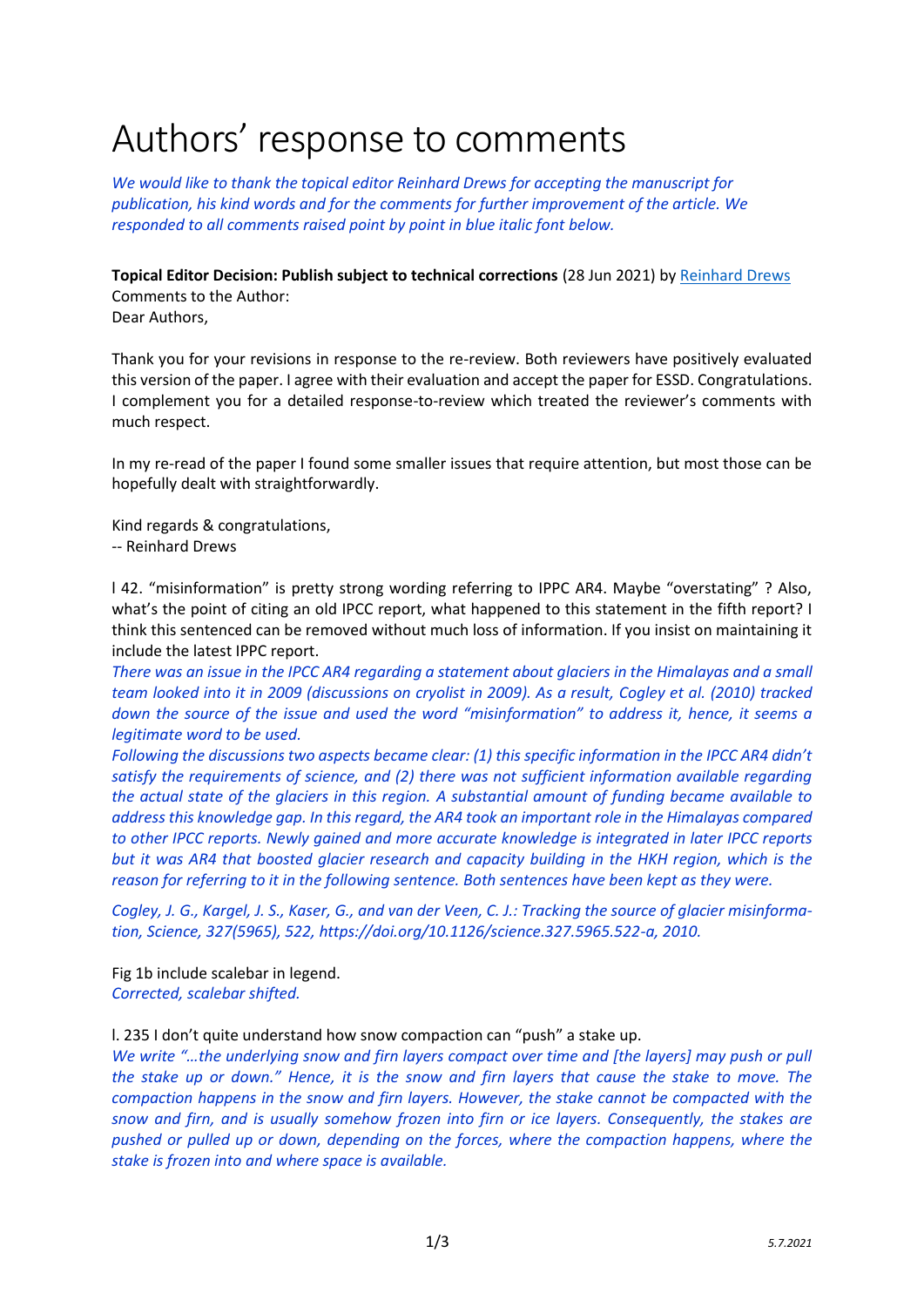## Authors' response to comments

*We would like to thank the topical editor Reinhard Drews for accepting the manuscript for publication, his kind words and for the comments for further improvement of the article. We responded to all comments raised point by point in blue italic font below.*

## **Topical Editor Decision: Publish subject to technical corrections** (28 Jun 2021) by [Reinhard Drews](mailto:reinhard.drews@uni-tuebingen.de?subject=essd-2020-272)

Comments to the Author: Dear Authors,

Thank you for your revisions in response to the re-review. Both reviewers have positively evaluated this version of the paper. I agree with their evaluation and accept the paper for ESSD. Congratulations. I complement you for a detailed response-to-review which treated the reviewer's comments with much respect.

In my re-read of the paper I found some smaller issues that require attention, but most those can be hopefully dealt with straightforwardly.

Kind regards & congratulations, -- Reinhard Drews

l 42. "misinformation" is pretty strong wording referring to IPPC AR4. Maybe "overstating" ? Also, what's the point of citing an old IPCC report, what happened to this statement in the fifth report? I think this sentenced can be removed without much loss of information. If you insist on maintaining it include the latest IPPC report.

*There was an issue in the IPCC AR4 regarding a statement about glaciers in the Himalayas and a small team looked into it in 2009 (discussions on cryolist in 2009). As a result, Cogley et al. (2010) tracked down the source of the issue and used the word "misinformation" to address it, hence, it seems a legitimate word to be used.*

*Following the discussions two aspects became clear: (1) this specific information in the IPCC AR4 didn't satisfy the requirements of science, and (2) there was not sufficient information available regarding the actual state of the glaciers in this region. A substantial amount of funding became available to address this knowledge gap. In this regard, the AR4 took an important role in the Himalayas compared to other IPCC reports. Newly gained and more accurate knowledge is integrated in later IPCC reports but it was AR4 that boosted glacier research and capacity building in the HKH region, which is the reason for referring to it in the following sentence. Both sentences have been kept as they were.*

*Cogley, J. G., Kargel, J. S., Kaser, G., and van der Veen, C. J.: Tracking the source of glacier misinformation, Science, 327(5965), 522, https://doi.org/10.1126/science.327.5965.522-a, 2010.*

Fig 1b include scalebar in legend. *Corrected, scalebar shifted.*

l. 235 I don't quite understand how snow compaction can "push" a stake up.

*We write "…the underlying snow and firn layers compact over time and [the layers] may push or pull the stake up or down." Hence, it is the snow and firn layers that cause the stake to move. The compaction happens in the snow and firn layers. However, the stake cannot be compacted with the snow and firn, and is usually somehow frozen into firn or ice layers. Consequently, the stakes are pushed or pulled up or down, depending on the forces, where the compaction happens, where the stake is frozen into and where space is available.*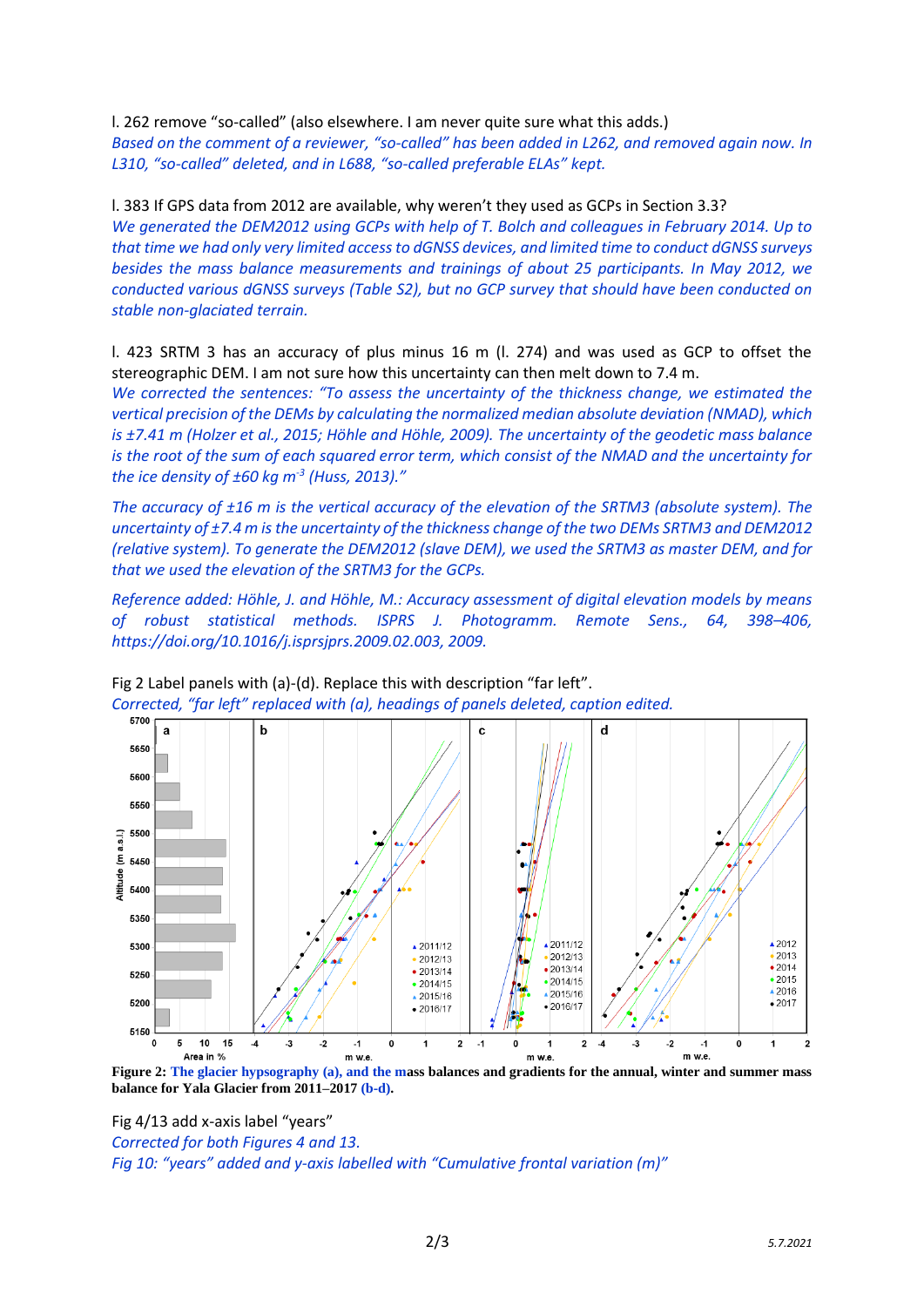l. 262 remove "so-called" (also elsewhere. I am never quite sure what this adds.)

*Based on the comment of a reviewer, "so-called" has been added in L262, and removed again now. In L310, "so-called" deleted, and in L688, "so-called preferable ELAs" kept.*

l. 383 If GPS data from 2012 are available, why weren't they used as GCPs in Section 3.3? *We generated the DEM2012 using GCPs with help of T. Bolch and colleagues in February 2014. Up to that time we had only very limited access to dGNSS devices, and limited time to conduct dGNSS surveys besides the mass balance measurements and trainings of about 25 participants. In May 2012, we conducted various dGNSS surveys (Table S2), but no GCP survey that should have been conducted on stable non-glaciated terrain.*

l. 423 SRTM 3 has an accuracy of plus minus 16 m (l. 274) and was used as GCP to offset the stereographic DEM. I am not sure how this uncertainty can then melt down to 7.4 m.

*We corrected the sentences: "To assess the uncertainty of the thickness change, we estimated the vertical precision of the DEMs by calculating the normalized median absolute deviation (NMAD), which is ±7.41 m (Holzer et al., 2015; Höhle and Höhle, 2009). The uncertainty of the geodetic mass balance is the root of the sum of each squared error term, which consist of the NMAD and the uncertainty for the ice density of ±60 kg m-3 (Huss, 2013)."*

*The accuracy of ±16 m is the vertical accuracy of the elevation of the SRTM3 (absolute system). The uncertainty of ±7.4 m is the uncertainty of the thickness change of the two DEMs SRTM3 and DEM2012 (relative system). To generate the DEM2012 (slave DEM), we used the SRTM3 as master DEM, and for that we used the elevation of the SRTM3 for the GCPs.*

*Reference added: Höhle, J. and Höhle, M.: Accuracy assessment of digital elevation models by means of robust statistical methods. ISPRS J. Photogramm. Remote Sens., 64, 398–406, https://doi.org/10.1016/j.isprsjprs.2009.02.003, 2009.*



Fig 2 Label panels with (a)-(d). Replace this with description "far left". *Corrected, "far left" replaced with (a), headings of panels deleted, caption edited.*

**Figure 2: The glacier hypsography (a), and the mass balances and gradients for the annual, winter and summer mass balance for Yala Glacier from 2011–2017 (b-d).** 

Fig 4/13 add x-axis label "years"

*Corrected for both Figures 4 and 13.*

*Fig 10: "years" added and y-axis labelled with "Cumulative frontal variation (m)"*